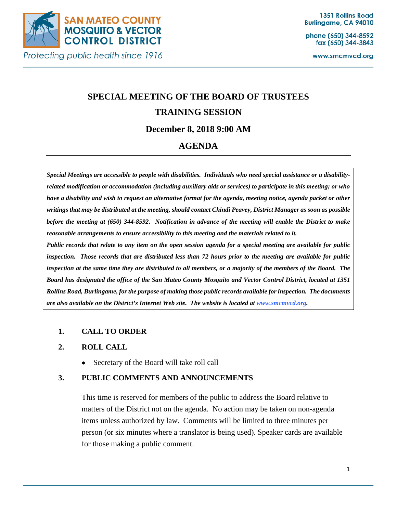

Protecting public health since 1916

phone (650) 344-8592 fax (650) 344-3843

www.smcmvcd.org

# **SPECIAL MEETING OF THE BOARD OF TRUSTEES TRAINING SESSION December 8, 2018 9:00 AM**

# **AGENDA**

*Special Meetings are accessible to people with disabilities. Individuals who need special assistance or a disabilityrelated modification or accommodation (including auxiliary aids or services) to participate in this meeting; or who have a disability and wish to request an alternative format for the agenda, meeting notice, agenda packet or other writings that may be distributed at the meeting, should contact Chindi Peavey, District Manager as soon as possible before the meeting at (650) 344-8592. Notification in advance of the meeting will enable the District to make reasonable arrangements to ensure accessibility to this meeting and the materials related to it.*

*Public records that relate to any item on the open session agenda for a special meeting are available for public inspection. Those records that are distributed less than 72 hours prior to the meeting are available for public inspection at the same time they are distributed to all members, or a majority of the members of the Board. The Board has designated the office of the San Mateo County Mosquito and Vector Control District, located at 1351 Rollins Road, Burlingame, for the purpose of making those public records available for inspection. The documents are also available on the District's Internet Web site. The website is located at www.smcmvcd.org.* 

#### **1. CALL TO ORDER**

#### **2. ROLL CALL**

• Secretary of the Board will take roll call

#### **3. PUBLIC COMMENTS AND ANNOUNCEMENTS**

This time is reserved for members of the public to address the Board relative to matters of the District not on the agenda. No action may be taken on non-agenda items unless authorized by law. Comments will be limited to three minutes per person (or six minutes where a translator is being used). Speaker cards are available for those making a public comment.